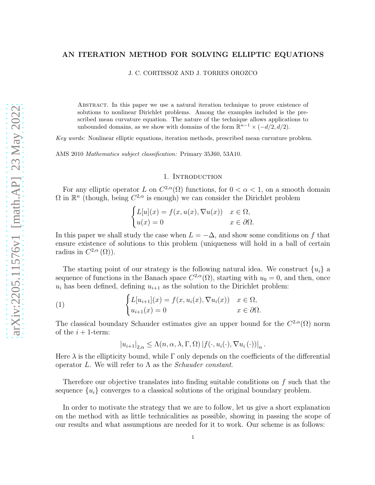# AN ITERATION METHOD FOR SOLVING ELLIPTIC EQUATIONS

J. C. CORTISSOZ AND J. TORRES OROZCO

Abstract. In this paper we use a natural iteration technique to prove existence of solutions to nonlinear Dirichlet problems. Among the examples included is the prescribed mean curvature equation. The nature of the technique allows applications to unbounded domains, as we show with domains of the form  $\mathbb{R}^{n-1} \times (-d/2, d/2)$ .

Key words: Nonlinear elliptic equations, iteration methods, prescribed mean curvature problem.

AMS 2010 Mathematics subject classification: Primary 35J60, 53A10.

#### 1. INTRODUCTION

For any elliptic operator L on  $C^{2,\alpha}(\Omega)$  functions, for  $0 < \alpha < 1$ , on a smooth domain  $\Omega$  in  $\mathbb{R}^n$  (though, being  $C^{2,\alpha}$  is enough) we can consider the Dirichlet problem

$$
\begin{cases}\nL[u](x) = f(x, u(x), \nabla u(x)) & x \in \Omega, \\
u(x) = 0 & x \in \partial\Omega.\n\end{cases}
$$

In this paper we shall study the case when  $L = -\Delta$ , and show some conditions on f that ensure existence of solutions to this problem (uniqueness will hold in a ball of certain radius in  $C^{2,\alpha}(\Omega)$ .

The starting point of our strategy is the following natural idea. We construct  $\{u_i\}$  a sequence of functions in the Banach space  $C^{2,\alpha}(\Omega)$ , starting with  $u_0 = 0$ , and then, once  $u_i$  has been defined, defining  $u_{i+1}$  as the solution to the Dirichlet problem:

(1) 
$$
\begin{cases} L[u_{i+1}](x) = f(x, u_i(x), \nabla u_i(x)) & x \in \Omega, \\ u_{i+1}(x) = 0 & x \in \partial\Omega. \end{cases}
$$

The classical boundary Schauder estimates give an upper bound for the  $C^{2,\alpha}(\Omega)$  norm of the  $i + 1$ -term:

<span id="page-0-0"></span>
$$
|u_{i+1}|_{2,\alpha} \leq \Lambda(n,\alpha,\lambda,\Gamma,\Omega) |f(\cdot,u_i(\cdot),\nabla u_i(\cdot))|_{\alpha}.
$$

Here  $\lambda$  is the ellipticity bound, while  $\Gamma$  only depends on the coefficients of the differential operator L. We will refer to Λ as the *Schauder constant*.

Therefore our objective translates into finding suitable conditions on f such that the sequence  $\{u_i\}$  converges to a classical solutions of the original boundary problem.

In order to motivate the strategy that we are to follow, let us give a short explanation on the method with as little technicalities as possible, showing in passing the scope of our results and what assumptions are needed for it to work. Our scheme is as follows: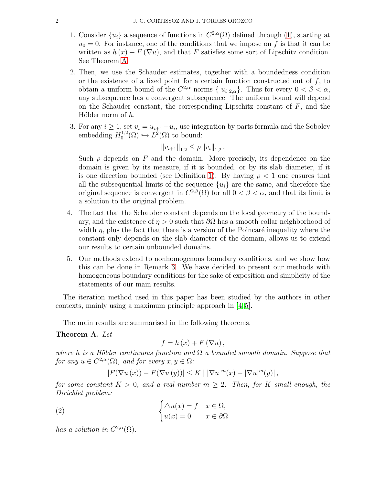- 1. Consider  $\{u_i\}$  a sequence of functions in  $C^{2,\alpha}(\Omega)$  defined through [\(1\)](#page-0-0), starting at  $u_0 = 0$ . For instance, one of the conditions that we impose on f is that it can be written as  $h(x) + F(\nabla u)$ , and that F satisfies some sort of Lipschitz condition. See Theorem [A.](#page-1-0)
- 2. Then, we use the Schauder estimates, together with a boundedness condition or the existence of a fixed point for a certain function constructed out of  $f$ , to obtain a uniform bound of the  $C^{2,\alpha}$  norms  $\{|u_i|_{2,\alpha}\}$ . Thus for every  $0 < \beta < \alpha$ , any subsequence has a convergent subsequence. The uniform bound will depend on the Schauder constant, the corresponding Lipschitz constant of  $F$ , and the Hölder norm of  $h$ .
- 3. For any  $i \geq 1$ , set  $v_i = u_{i+1} u_i$ , use integration by parts formula and the Sobolev embedding  $H_0^{1,2}$  $L^2(\Omega) \hookrightarrow L^2(\Omega)$  to bound:

$$
||v_{i+1}||_{1,2} \le \rho ||v_i||_{1,2}.
$$

Such  $\rho$  depends on F and the domain. More precisely, its dependence on the domain is given by its measure, if it is bounded, or by its slab diameter, if it is one direction bounded (see Definition [1\)](#page-5-0). By having  $\rho < 1$  one ensures that all the subsequential limits of the sequence  $\{u_i\}$  are the same, and therefore the original sequence is convergent in  $C^{2,\beta}(\Omega)$  for all  $0 < \beta < \alpha$ , and that its limit is a solution to the original problem.

- 4. The fact that the Schauder constant depends on the local geometry of the boundary, and the existence of  $\eta > 0$  such that  $\partial\Omega$  has a smooth collar neighborhood of width  $\eta$ , plus the fact that there is a version of the Poincaré inequality where the constant only depends on the slab diameter of the domain, allows us to extend our results to certain unbounded domains.
- 5. Our methods extend to nonhomogenous boundary conditions, and we show how this can be done in Remark [3.](#page-11-0) We have decided to present our methods with homogeneous boundary conditions for the sake of exposition and simplicity of the statements of our main results.

The iteration method used in this paper has been studied by the authors in other contexts, mainly using a maximum principle approach in [\[4,](#page-18-0) [5\]](#page-18-1).

The main results are summarised in the following theorems.

### <span id="page-1-0"></span>Theorem A. *Let*

$$
f=h\left( x\right) +F\left( \nabla u\right) ,
$$

*where* h *is a Hölder continuous function and*  $\Omega$  *a bounded smooth domain. Suppose that for any*  $u \in C^{2,\alpha}(\Omega)$ *, and for every*  $x, y \in \Omega$ *:* 

<span id="page-1-1"></span>
$$
|F(\nabla u(x)) - F(\nabla u(y))| \le K \mid |\nabla u|^m(x) - |\nabla u|^m(y)|,
$$

*for some constant*  $K > 0$ *, and a real number*  $m \geq 2$ *. Then, for* K *small enough, the Dirichlet problem:*

(2) 
$$
\begin{cases} \triangle u(x) = f & x \in \Omega, \\ u(x) = 0 & x \in \partial\Omega \end{cases}
$$

*has a solution in*  $C^{2,\alpha}(\Omega)$ *.*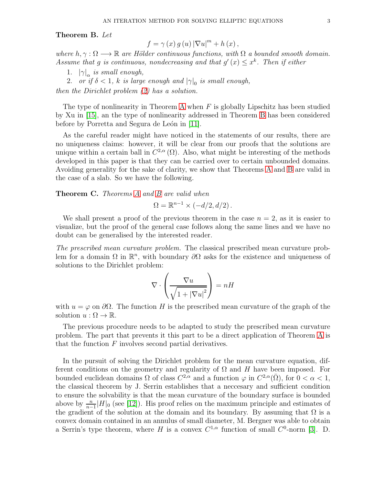#### <span id="page-2-0"></span>Theorem B. *Let*

$$
f=\gamma\left(x\right)g\left(u\right)\left|\nabla u\right|^{m}+h\left(x\right),
$$

*where*  $h, \gamma : \Omega \longrightarrow \mathbb{R}$  *are Hölder continuous functions, with*  $\Omega$  *a bounded smooth domain.* Assume that g *is continuous, nondecreasing and that*  $g'(x) \leq x^k$ *. Then if either* 

- 1.  $|\gamma|_{\alpha}$  *is small enough,*
- 2. *or if*  $\delta < 1$ , *k is large enough and*  $|\gamma|_0$  *is small enough*,

*then the Dirichlet problem [\(2\)](#page-1-1) has a solution.*

The type of nonlinearity in Theorem [A](#page-1-0) when  $F$  is globally Lipschitz has been studied by Xu in [\[15\]](#page-19-0), an the type of nonlinearity addressed in Theorem [B](#page-2-0) has been considered before by Porretta and Segura de León in [\[11\]](#page-19-1).

As the careful reader might have noticed in the statements of our results, there are no uniqueness claims: however, it will be clear from our proofs that the solutions are unique within a certain ball in  $C^{2,\alpha}(\Omega)$ . Also, what might be interesting of the methods developed in this paper is that they can be carried over to certain unbounded domains. Avoiding generality for the sake of clarity, we show that Theorems [A](#page-1-0) and [B](#page-2-0) are valid in the case of a slab. So we have the following.

Theorem C. *Theorems [A](#page-1-0) and [B](#page-2-0) are valid when*

$$
\Omega=\mathbb{R}^{n-1}\times (-d/2,d/2)\,.
$$

We shall present a proof of the previous theorem in the case  $n = 2$ , as it is easier to visualize, but the proof of the general case follows along the same lines and we have no doubt can be generalised by the interested reader.

*The prescribed mean curvature problem.* The classical prescribed mean curvature problem for a domain  $\Omega$  in  $\mathbb{R}^n$ , with boundary  $\partial\Omega$  asks for the existence and uniqueness of solutions to the Dirichlet problem:

$$
\nabla \cdot \left(\frac{\nabla u}{\sqrt{1+|\nabla u|^2}}\right) = nH
$$

with  $u = \varphi$  on  $\partial\Omega$ . The function H is the prescribed mean curvature of the graph of the solution  $u : \Omega \to \mathbb{R}$ .

The previous procedure needs to be adapted to study the prescribed mean curvature problem. The part that prevents it this part to be a direct application of Theorem [A](#page-1-0) is that the function  $F$  involves second partial derivatives.

In the pursuit of solving the Dirichlet problem for the mean curvature equation, different conditions on the geometry and regularity of  $\Omega$  and H have been imposed. For bounded euclidean domains  $\Omega$  of class  $C^{2,\alpha}$  and a function  $\varphi$  in  $C^{2,\alpha}(\overline{\Omega})$ , for  $0 < \alpha < 1$ , the classical theorem by J. Serrin establishes that a neccesary and sufficient condition to ensure the solvability is that the mean curvature of the boundary surface is bounded above by  $\frac{n}{n-1}|H|_0$  (see [\[12\]](#page-19-2)). His proof relies on the maximum principle and estimates of the gradient of the solution at the domain and its boundary. By assuming that  $\Omega$  is a convex domain contained in an annulus of small diameter, M. Bergner was able to obtain a Serrin's type theorem, where H is a convex  $C^{1,\alpha}$  function of small  $C^0$ -norm [\[3\]](#page-18-2). D.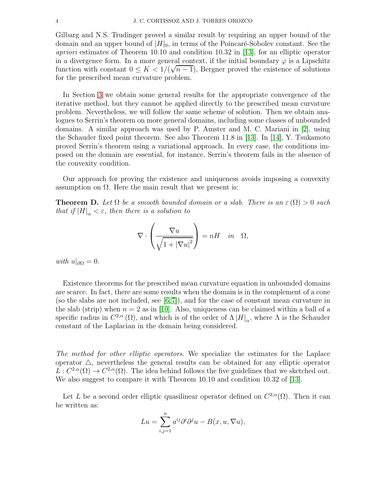Gilbarg and N.S. Trudinger proved a similar result by requiring an upper bound of the domain and an upper bound of  $|H|_0$ , in terms of the Poincaré-Sobolev constant. See the *apriori* estimates of Theorem 10.10 and condition 10.32 in [\[13\]](#page-19-3), for an elliptic operator in a divergence form. In a more general context, if the initial boundary  $\varphi$  is a Lipschitz function with constant  $0 \leq K < 1/(\sqrt{n-1})$ , Bergner proved the existence of solutions for the prescribed mean curvature problem.

In Section [3](#page-7-0) we obtain some general results for the appropriate convergence of the iterative method, but they cannot be applied directly to the prescribed mean curvature problem. Nevertheless, we will follow the same scheme of solution. Then we obtain analogues to Serrin's theorem on more general domains, including some classes of unbounded domains. A similar approach was used by P. Amster and M. C. Mariani in [\[2\]](#page-18-3), using the Schauder fixed point theorem. See also Theorem 11.8 in [\[13\]](#page-19-3). In [\[14\]](#page-19-4), Y. Tsukamoto proved Serrin's theorem using a variational approach. In every case, the conditions imposed on the domain are essential, for instance, Serrin's theorem fails in the absence of the convexity condition.

Our approach for proving the existence and uniqueness avoids imposing a convexity assumption on  $\Omega$ . Here the main result that we present is:

**Theorem D.** Let  $\Omega$  be a smooth bounded domain or a slab. There is an  $\varepsilon(\Omega) > 0$  such *that if*  $|H|_{\alpha} < \varepsilon$ *, then there is a solution to* 

$$
\nabla \cdot \left(\frac{\nabla u}{\sqrt{1+|\nabla u|^2}}\right) = nH \quad in \quad \Omega,
$$

*with*  $u|_{\partial\Omega} = 0$ *.* 

Existence theorems for the prescribed mean curvature equation in unbounded domains are scarce. In fact, there are some results when the domain is in the complement of a cone (so the slabs are not included, see [\[6,](#page-19-5)[7\]](#page-19-6)), and for the case of constant mean curvature in the slab (strip) when  $n = 2$  as in [\[10\]](#page-19-7). Also, uniqueness can be claimed within a ball of a specific radius in  $C^{2,\alpha}(\Omega)$ , and which is of the order of  $\Lambda |H|_{\alpha}$ , where  $\Lambda$  is the Schauder constant of the Laplacian in the domain being considered.

*The method for other elliptic operators.* We specialize the estimates for the Laplace operator  $\Delta$ , nevertheless the general results can be obtained for any elliptic operator  $L: C^{2,\alpha}(\Omega) \to C^{2,\alpha}(\Omega)$ . The idea behind follows the five guidelines that we sketched out. We also suggest to compare it with Theorem 10.10 and condition 10.32 of [\[13\]](#page-19-3).

Let L be a second order elliptic quasilinear operator defined on  $C^{2,\alpha}(\Omega)$ . Then it can be written as:

$$
Lu = \sum_{i,j=1}^{n} a^{ij} \partial^{i} \partial^{j} u - B(x, u, \nabla u),
$$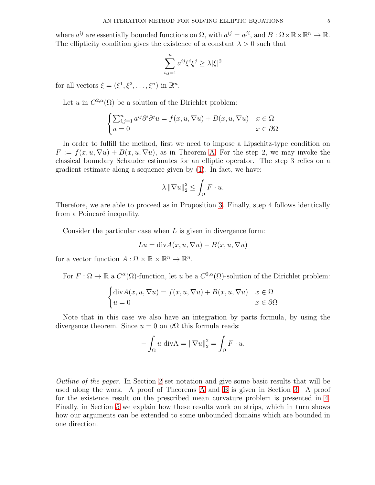where  $a^{ij}$  are essentially bounded functions on  $\Omega$ , with  $a^{ij} = a^{ji}$ , and  $B: \Omega \times \mathbb{R} \times \mathbb{R}^n \to \mathbb{R}$ . The ellipticity condition gives the existence of a constant  $\lambda > 0$  such that

$$
\sum_{i,j=1}^{n} a^{ij} \xi^i \xi^j \ge \lambda |\xi|^2
$$

for all vectors  $\xi = (\xi^1, \xi^2, \dots, \xi^n)$  in  $\mathbb{R}^n$ .

Let u in  $C^{2,\alpha}(\Omega)$  be a solution of the Dirichlet problem:

$$
\begin{cases} \sum_{i,j=1}^{n} a^{ij} \partial^{i} \partial^{j} u = f(x, u, \nabla u) + B(x, u, \nabla u) & x \in \Omega \\ u = 0 & x \in \partial \Omega \end{cases}
$$

In order to fulfill the method, first we need to impose a Lipschitz-type condition on  $F := f(x, u, \nabla u) + B(x, u, \nabla u)$ , as in Theorem [A.](#page-1-0) For the step 2, we may invoke the classical boundary Schauder estimates for an elliptic operator. The step 3 relies on a gradient estimate along a sequence given by [\(1\)](#page-0-0). In fact, we have:

$$
\lambda \left\|\nabla u\right\|_2^2 \le \int_{\Omega} F \cdot u.
$$

Therefore, we are able to proceed as in Proposition [3.](#page-9-0) Finally, step 4 follows identically from a Poincaré inequality.

Consider the particular case when  $L$  is given in divergence form:

$$
Lu = \text{div}A(x, u, \nabla u) - B(x, u, \nabla u)
$$

for a vector function  $A: \Omega \times \mathbb{R} \times \mathbb{R}^n \to \mathbb{R}^n$ .

For  $F: \Omega \to \mathbb{R}$  a  $C^{\alpha}(\Omega)$ -function, let u be a  $C^{2,\alpha}(\Omega)$ -solution of the Dirichlet problem:

$$
\begin{cases} \text{div}A(x, u, \nabla u) = f(x, u, \nabla u) + B(x, u, \nabla u) & x \in \Omega \\ u = 0 & x \in \partial\Omega \end{cases}
$$

Note that in this case we also have an integration by parts formula, by using the divergence theorem. Since  $u = 0$  on  $\partial\Omega$  this formula reads:

$$
-\int_{\Omega} u \, \mathrm{div} \mathbf{A} = \|\nabla u\|_2^2 = \int_{\Omega} F \cdot u.
$$

*Outline of the paper.* In Section [2](#page-5-1) set notation and give some basic results that will be used along the work. A proof of Theorems [A](#page-1-0) and [B](#page-2-0) is given in Section [3.](#page-7-0) A proof for the existence result on the prescribed mean curvature problem is presented in [4.](#page-13-0) Finally, in Section [5](#page-17-0) we explain how these results work on strips, which in turn shows how our arguments can be extended to some unbounded domains which are bounded in one direction.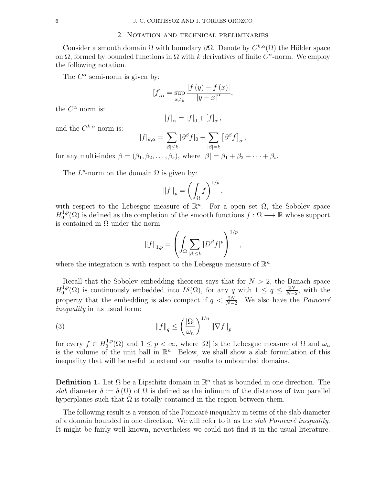#### 2. Notation and technical preliminaries

<span id="page-5-1"></span>Consider a smooth domain  $\Omega$  with boundary  $\partial\Omega$ . Denote by  $C^{k,\alpha}(\Omega)$  the Hölder space on  $\Omega$ , formed by bounded functions in  $\Omega$  with k derivatives of finite  $C^{\alpha}$ -norm. We employ the following notation.

The  $C^{\alpha}$  semi-norm is given by:

$$
[f]_{\alpha} = \sup_{x \neq y} \frac{|f(y) - f(x)|}{|y - x|^{\alpha}},
$$

the  $C^{\alpha}$  norm is:

$$
|f|_{\alpha} = |f|_{0} + [f]_{\alpha}
$$
,

and the  $C^{k,\alpha}$  norm is:

$$
|f|_{k,\alpha} = \sum_{|\beta| \leq k} |\partial^{\beta} f|_{0} + \sum_{|\beta|=k} [\partial^{\beta} f]_{\alpha},
$$

for any multi-index  $\beta = (\beta_1, \beta_2, \dots, \beta_s)$ , where  $|\beta| = \beta_1 + \beta_2 + \dots + \beta_s$ .

The  $L^p$ -norm on the domain  $\Omega$  is given by:

$$
||f||_p = \left(\int_{\Omega} f\right)^{1/p}
$$

,

with respect to the Lebesgue measure of  $\mathbb{R}^n$ . For a open set  $\Omega$ , the Sobolev space  $H_0^{1,p}$  $0^{1,p}(\Omega)$  is defined as the completion of the smooth functions  $f : \Omega \longrightarrow \mathbb{R}$  whose support is contained in  $\Omega$  under the norm:

<span id="page-5-2"></span>
$$
||f||_{1,p} = \left(\int_{\Omega} \sum_{|\beta| \le k} |D^{\beta} f|^p \right)^{1/p},\,
$$

where the integration is with respect to the Lebesgue measure of  $\mathbb{R}^n$ .

Recall that the Sobolev embedding theorem says that for  $N > 2$ , the Banach space  $H_0^{1,p}$  $\mathcal{L}^{1,p}(\Omega)$  is continuously embedded into  $L^q(\Omega)$ , for any q with  $1 \leq q \leq \frac{2N}{N-1}$  $\frac{2N}{N-2}$ , with the property that the embedding is also compact if  $q < \frac{2N}{N-2}$ . We also have the *Poincaré inequality* in its usual form:

(3) 
$$
\|f\|_{q} \leq \left(\frac{|\Omega|}{\omega_{n}}\right)^{1/n} \|\nabla f\|_{p}
$$

for every  $f \in H_0^{1,p}$ <sup>1,p</sup>( $\Omega$ ) and  $1 \leq p < \infty$ , where  $|\Omega|$  is the Lebesgue measure of  $\Omega$  and  $\omega_n$ is the volume of the unit ball in  $\mathbb{R}^n$ . Below, we shall show a slab formulation of this inequality that will be useful to extend our results to unbounded domains.

<span id="page-5-0"></span>**Definition 1.** Let  $\Omega$  be a Lipschitz domain in  $\mathbb{R}^n$  that is bounded in one direction. The *slab* diameter  $\delta := \delta(\Omega)$  of  $\Omega$  is defined as the infimum of the distances of two parallel hyperplanes such that  $\Omega$  is totally contained in the region between them.

The following result is a version of the Poincaré inequality in terms of the slab diameter of a domain bounded in one direction. We will refer to it as the *slab Poincaré inequality*. It might be fairly well known, nevertheless we could not find it in the usual literature.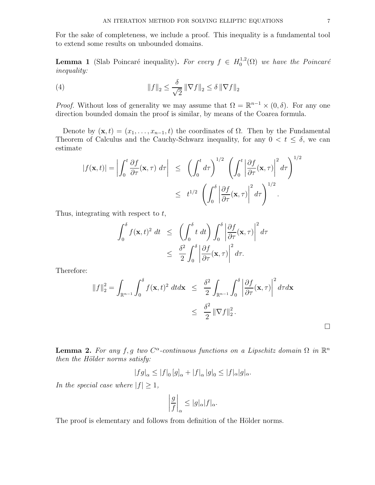For the sake of completeness, we include a proof. This inequality is a fundamental tool to extend some results on unbounded domains.

**Lemma 1** (Slab Poincaré inequality). *For every*  $f \in H_0^{1,2}$  $\int_0^{1,2}$ ( $\Omega$ ) we have the Poincaré *inequality:*

<span id="page-6-1"></span>(4) 
$$
\|f\|_2 \leq \frac{\delta}{\sqrt{2}} \|\nabla f\|_2 \leq \delta \|\nabla f\|_2
$$

*Proof.* Without loss of generality we may assume that  $\Omega = \mathbb{R}^{n-1} \times (0, \delta)$ . For any one direction bounded domain the proof is similar, by means of the Coarea formula.

Denote by  $(\mathbf{x}, t) = (x_1, \ldots, x_{n-1}, t)$  the coordinates of  $\Omega$ . Then by the Fundamental Theorem of Calculus and the Cauchy-Schwarz inequality, for any  $0 < t \leq \delta$ , we can estimate

$$
|f(\mathbf{x},t)| = \left| \int_0^t \frac{\partial f}{\partial \tau}(\mathbf{x},\tau) d\tau \right| \leq \left( \int_0^t d\tau \right)^{1/2} \left( \int_0^t \left| \frac{\partial f}{\partial \tau}(\mathbf{x},\tau) \right|^2 d\tau \right)^{1/2}
$$
  

$$
\leq t^{1/2} \left( \int_0^{\delta} \left| \frac{\partial f}{\partial \tau}(\mathbf{x},\tau) \right|^2 d\tau \right)^{1/2}.
$$

Thus, integrating with respect to  $t$ ,

$$
\int_0^\delta f(\mathbf{x}, t)^2 dt \leq \left( \int_0^\delta t dt \right) \int_0^\delta \left| \frac{\partial f}{\partial \tau}(\mathbf{x}, \tau) \right|^2 d\tau
$$
  

$$
\leq \frac{\delta^2}{2} \int_0^\delta \left| \frac{\partial f}{\partial \tau}(\mathbf{x}, \tau) \right|^2 d\tau.
$$

Therefore:

$$
||f||_2^2 = \int_{\mathbb{R}^{n-1}} \int_0^\delta f(\mathbf{x}, t)^2 dt d\mathbf{x} \le \frac{\delta^2}{2} \int_{\mathbb{R}^{n-1}} \int_0^\delta \left| \frac{\partial f}{\partial \tau}(\mathbf{x}, \tau) \right|^2 d\tau d\mathbf{x}
$$
  

$$
\le \frac{\delta^2}{2} ||\nabla f||_2^2.
$$

<span id="page-6-0"></span>**Lemma 2.** For any f, g two  $C^{\alpha}$ -continuous functions on a Lipschitz domain  $\Omega$  in  $\mathbb{R}^n$ *then the Hölder norms satisfy:* 

$$
|fg|_{\alpha} \leq |f|_{0} [g]_{\alpha} + |f|_{\alpha} |g|_{0} \leq |f|_{\alpha} |g|_{\alpha}.
$$

*In the special case where*  $|f| \geq 1$ *,* 

$$
\left|\frac{g}{f}\right|_{\alpha} \le |g|_{\alpha}|f|_{\alpha}.
$$

The proof is elementary and follows from definition of the Hölder norms.

 $\Box$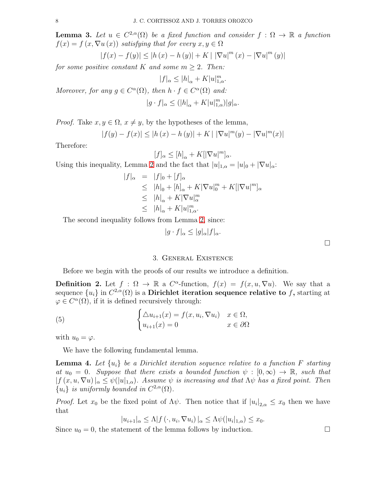<span id="page-7-1"></span>**Lemma 3.** Let  $u \in C^{2,\alpha}(\Omega)$  be a fixed function and consider  $f : \Omega \to \mathbb{R}$  a function  $f(x) = f(x, \nabla u(x))$  *satisfying that for every*  $x, y \in \Omega$ 

$$
|f(x) - f(y)| \le |h(x) - h(y)| + K \mid |\nabla u|^m (x) - |\nabla u|^m (y)|
$$

*for some positive constant* K *and some*  $m \geq 2$ *. Then:* 

$$
|f|_\alpha\leq |h|_\alpha+K|u|_{1,\alpha}^m.
$$

*Moreover, for any*  $g \in C^{\alpha}(\Omega)$ *, then*  $h \cdot f \in C^{\alpha}(\Omega)$  *and:*  $|g \cdot f|_{\alpha} \leq (|h|_{\alpha} + K|u|_{1,\alpha}^m)|g|_{\alpha}.$ 

*Proof.* Take  $x, y \in \Omega$ ,  $x \neq y$ , by the hypotheses of the lemma,

$$
|f(y) - f(x)| \le |h(x) - h(y)| + K \, |\, |\nabla u|^m(y) - |\nabla u|^m(x)|
$$

Therefore:

$$
[f]_{\alpha} \le [h]_{\alpha} + K[|\nabla u|^m]_{\alpha}.
$$

Using this inequality, Lemma [2](#page-6-0) and the fact that  $|u|_{1,\alpha} = |u|_0 + |\nabla u|_{\alpha}$ .

$$
|f|_{\alpha} = |f|_{0} + [f]_{\alpha}
$$
  
\n
$$
\leq |h|_{0} + [h]_{\alpha} + K|\nabla u|_{0}^{m} + K[|\nabla u|_{\alpha}^{m}]_{\alpha}
$$
  
\n
$$
\leq |h|_{\alpha} + K|\nabla u|_{\alpha}^{m}
$$
  
\n
$$
\leq |h|_{\alpha} + K|u|_{1,\alpha}^{m}.
$$

The second inequality follows from Lemma [2,](#page-6-0) since:

$$
|g \cdot f|_{\alpha} \le |g|_{\alpha}|f|_{\alpha}.
$$

#### 3. General Existence

<span id="page-7-0"></span>Before we begin with the proofs of our results we introduce a definition.

**Definition 2.** Let  $f : \Omega \to \mathbb{R}$  a  $C^{\alpha}$ -function,  $f(x) = f(x, u, \nabla u)$ . We say that a sequence  ${u_i}$  in  $C^{2,\alpha}(\Omega)$  is a Dirichlet iteration sequence relative to f, starting at  $\varphi \in C^{\alpha}(\Omega)$ , if it is defined recursively through:

(5) 
$$
\begin{cases} \Delta u_{i+1}(x) = f(x, u_i, \nabla u_i) & x \in \Omega, \\ u_{i+1}(x) = 0 & x \in \partial\Omega \end{cases}
$$

with  $u_0 = \varphi$ .

We have the following fundamental lemma.

**Lemma 4.** Let  $\{u_i\}$  be a Dirichlet iteration sequence relative to a function F starting *at*  $u_0 = 0$ *. Suppose that there exists a bounded function*  $\psi : [0, \infty) \to \mathbb{R}$ *, such that*  $|f(x, u, \nabla u)|_{\alpha} \leq \psi(|u|_{1,\alpha})$ *. Assume*  $\psi$  *is increasing and that*  $\Lambda \psi$  *has a fixed point. Then*  ${u_i}$  *is uniformly bounded in*  $C^{2,\alpha}(\Omega)$ *.* 

*Proof.* Let  $x_0$  be the fixed point of  $\Lambda \psi$ . Then notice that if  $|u_i|_{2,\alpha} \leq x_0$  then we have that

$$
|u_{i+1}|_{\alpha} \leq \Lambda |f(\cdot, u_i, \nabla u_i)|_{\alpha} \leq \Lambda \psi(|u_i|_{1,\alpha}) \leq x_0.
$$

Since  $u_0 = 0$ , the statement of the lemma follows by induction.

$$
8 \\
$$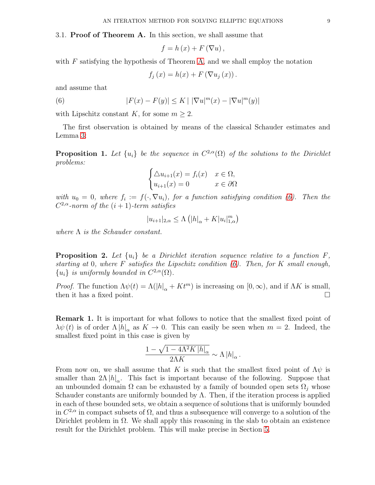3.1. Proof of Theorem A. In this section, we shall assume that

$$
f=h\left( x\right) +F\left( \nabla u\right) ,
$$

with  $F$  satisfying the hypothesis of Theorem [A,](#page-1-0) and we shall employ the notation

<span id="page-8-0"></span>
$$
f_j(x) = h(x) + F(\nabla u_j(x)).
$$

and assume that

(6) 
$$
|F(x) - F(y)| \le K | |\nabla u|^m(x) - |\nabla u|^m(y)|
$$

with Lipschitz constant K, for some  $m \geq 2$ .

The first observation is obtained by means of the classical Schauder estimates and Lemma [3:](#page-7-1)

**Proposition 1.** Let  $\{u_i\}$  be the sequence in  $C^{2,\alpha}(\Omega)$  of the solutions to the Dirichlet *problems:*

$$
\begin{cases} \triangle u_{i+1}(x) = f_i(x) & x \in \Omega, \\ u_{i+1}(x) = 0 & x \in \partial\Omega \end{cases}
$$

with  $u_0 = 0$ , where  $f_i := f(\cdot, \nabla u_i)$ , for a function satisfying condition [\(6\)](#page-8-0). Then the  $C^{2,\alpha}$ -norm of the  $(i + 1)$ -term satisfies

$$
|u_{i+1}|_{2,\alpha} \leq \Lambda \left( |h|_{\alpha} + K|u_i|_{1,\alpha}^m \right)
$$

*where* Λ *is the Schauder constant.*

<span id="page-8-1"></span>**Proposition 2.** Let  $\{u_i\}$  be a Dirichlet iteration sequence relative to a function  $F$ , *starting at* 0*, where* F *satisfies the Lipschitz condition [\(6\)](#page-8-0). Then, for* K *small enough,*  ${u_i}$  *is uniformly bounded in*  $C^{2,\alpha}(\Omega)$ *.* 

*Proof.* The function  $\Lambda \psi(t) = \Lambda(|h|_{\alpha} + Kt^m)$  is increasing on  $[0, \infty)$ , and if  $\Lambda K$  is small, then it has a fixed point. then it has a fixed point.

**Remark 1.** It is important for what follows to notice that the smallest fixed point of  $\lambda \psi(t)$  is of order  $\Lambda |h|_{\alpha}$  as  $K \to 0$ . This can easily be seen when  $m = 2$ . Indeed, the smallest fixed point in this case is given by

$$
\frac{1 - \sqrt{1 - 4\Lambda^2 K \left| h \right|_\alpha}}{2\Lambda K} \sim \Lambda \left| h \right|_\alpha.
$$

From now on, we shall assume that K is such that the smallest fixed point of  $\Lambda \psi$  is smaller than  $2\Lambda |h|_{\alpha}$ . This fact is important because of the following. Suppose that an unbounded domain  $\Omega$  can be exhausted by a family of bounded open sets  $\Omega_i$ , whose Schauder constants are uniformly bounded by  $\Lambda$ . Then, if the iteration process is applied in each of these bounded sets, we obtain a sequence of solutions that is uniformly bounded in  $C^{2,\alpha}$  in compact subsets of  $\Omega$ , and thus a subsequence will converge to a solution of the Dirichlet problem in  $\Omega$ . We shall apply this reasoning in the slab to obtain an existence result for the Dirichlet problem. This will make precise in Section [5.](#page-17-0)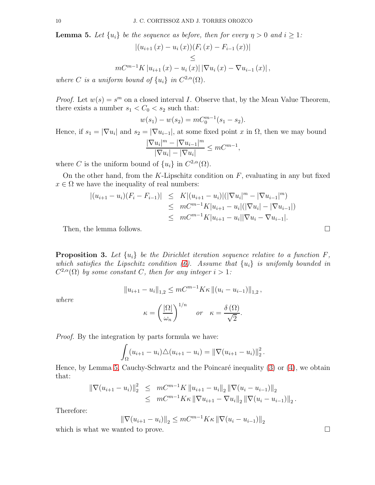<span id="page-9-1"></span>**Lemma 5.** Let  $\{u_i\}$  be the sequence as before, then for every  $\eta > 0$  and  $i \geq 1$ :

$$
\begin{aligned} \left| (u_{i+1}(x) - u_i(x))(F_i(x) - F_{i-1}(x)) \right| \\ &\leq \\ mC^{m-1}K \left| u_{i+1}(x) - u_i(x) \right| |\nabla u_i(x) - \nabla u_{i-1}(x)| \,, \end{aligned}
$$

*where C is a uniform bound of*  $\{u_i\}$  *in*  $C^{2,\alpha}(\Omega)$ *.* 

*Proof.* Let  $w(s) = s^m$  on a closed interval I. Observe that, by the Mean Value Theorem, there exists a number  $s_1 < C_0 < s_2$  such that:

$$
w(s_1) - w(s_2) = mC_0^{m-1}(s_1 - s_2).
$$

Hence, if  $s_1 = |\nabla u_i|$  and  $s_2 = |\nabla u_{i-1}|$ , at some fixed point x in  $\Omega$ , then we may bound

$$
\frac{|\nabla u_i|^m - |\nabla u_{i-1}|^m}{|\nabla u_i| - |\nabla u_i|} \le mC^{m-1},
$$

where C is the uniform bound of  $\{u_i\}$  in  $C^{2,\alpha}(\Omega)$ .

On the other hand, from the  $K$ -Lipschitz condition on  $F$ , evaluating in any but fixed  $x \in \Omega$  we have the inequality of real numbers:

$$
\begin{aligned} |(u_{i+1} - u_i)(F_i - F_{i-1})| &\leq K |(u_{i+1} - u_i)| (|\nabla u_i|^m - |\nabla u_{i-1}|^m) \\ &\leq m C^{m-1} K |u_{i+1} - u_i| (|\nabla u_i| - |\nabla u_{i-1}|) \\ &\leq m C^{m-1} K |u_{i+1} - u_i| |\nabla u_i - \nabla u_{i-1}|. \end{aligned}
$$

Then, the lemma follows.  $\Box$ 

<span id="page-9-0"></span>**Proposition 3.** Let  $\{u_i\}$  be the Dirichlet iteration sequence relative to a function  $F$ , *which satisfies the Lipschitz condition [\(6\)](#page-8-0). Assume that* {ui} *is unifomly bounded in*  $C^{2,\alpha}(\Omega)$  by some constant C, then for any integer  $i > 1$ :

$$
||u_{i+1} - u_i||_{1,2} \leq mC^{m-1}K\kappa ||(u_i - u_{i-1})||_{1,2},
$$

$$
\kappa = \left(\frac{|\Omega|}{\omega_n}\right)^{1/n} \quad or \quad \kappa = \frac{\delta(\Omega)}{\sqrt{2}}.
$$

*where*

$$
\mathcal{L} = \mathcal{L} \times \mathcal{L} = \mathcal{L} \times \mathcal{L} = \mathcal{L} \times \mathcal{L} = \mathcal{L} \times \mathcal{L}
$$

*Proof.* By the integration by parts formula we have:

$$
\int_{\Omega} (u_{i+1} - u_i) \triangle (u_{i+1} - u_i) = ||\nabla (u_{i+1} - u_i)||_2^2.
$$

Hence, by Lemma [5,](#page-9-1) Cauchy-Schwartz and the Poincaré inequality  $(3)$  or  $(4)$ , we obtain that:

$$
\begin{array}{rcl} \|\nabla (u_{i+1}-u_i)\|_2^2 & \leq & mC^{m-1}K \left\|u_{i+1}-u_i\right\|_2 \left\|\nabla (u_i-u_{i-1})\right\|_2 \\ & \leq & mC^{m-1}K\kappa \left\|\nabla u_{i+1}-\nabla u_i\right\|_2 \left\|\nabla (u_i-u_{i-1})\right\|_2. \end{array}
$$

Therefore:

$$
\|\nabla(u_{i+1} - u_i)\|_2 \le mC^{m-1}K\kappa \|\nabla(u_i - u_{i-1})\|_2
$$

which is what we wanted to prove.  $\Box$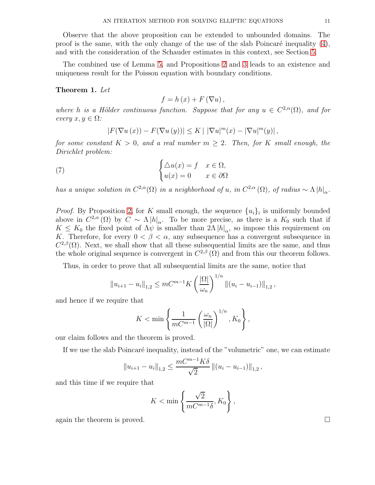Observe that the above proposition can be extended to unbounded domains. The proof is the same, with the only change of the use of the slab Poincaré inequality  $(4)$ , and with the consideration of the Schauder estimates in this context, see Section [5.](#page-17-0)

The combined use of Lemma [5,](#page-9-1) and Propositions [2](#page-8-1) and [3](#page-9-0) leads to an existence and uniqueness result for the Poisson equation with boundary conditions.

#### Theorem 1. *Let*

$$
f=h\left( x\right) +F\left( \nabla u\right) ,
$$

where *h* is a Hölder continuous function. Suppose that for any  $u \in C^{2,\alpha}(\Omega)$ , and for  $every \; x, y \in \Omega$ *:* 

$$
|F(\nabla u(x)) - F(\nabla u(y))| \le K \mid |\nabla u|^m(x) - |\nabla u|^m(y)|,
$$

*for some constant*  $K > 0$ *, and a real number*  $m \geq 2$ *. Then, for* K *small enough, the Dirichlet problem:*

(7) 
$$
\begin{cases} \triangle u(x) = f & x \in \Omega, \\ u(x) = 0 & x \in \partial\Omega \end{cases}
$$

*has a unique solution in*  $C^{2,\alpha}(\Omega)$  *in a neighborhood of u, in*  $C^{2,\alpha}(\Omega)$ *, of radius* ∼  $\Lambda |h|_{\alpha}$ *.* 

*Proof.* By Proposition [2,](#page-8-1) for K small enough, the sequence  $\{u_i\}_i$  is uniformly bounded above in  $C^{2,\alpha}(\Omega)$  by  $C \sim \Lambda |h|_{\alpha}$ . To be more precise, as there is a  $K_0$  such that if  $K \leq K_0$  the fixed point of  $\Lambda \psi$  is smaller than  $2\Lambda |h|_{\alpha}$ , so impose this requirement on K. Therefore, for every  $0 < \beta < \alpha$ , any subsequence has a convergent subsequence in  $C^{2,\beta}(\Omega)$ . Next, we shall show that all these subsequential limits are the same, and thus the whole original sequence is convergent in  $C^{2,\beta}(\Omega)$  and from this our theorem follows.

Thus, in order to prove that all subsequential limits are the same, notice that

$$
||u_{i+1} - u_i||_{1,2} \leq mC^{m-1}K\left(\frac{|\Omega|}{\omega_n}\right)^{1/n}||(u_i - u_{i-1})||_{1,2},
$$

and hence if we require that

$$
K < \min\left\{\frac{1}{mC^{m-1}}\left(\frac{\omega_n}{|\Omega|}\right)^{1/n}, K_0\right\},\
$$

our claim follows and the theorem is proved.

If we use the slab Poincaré inequality, instead of the "volumetric" one, we can estimate

$$
||u_{i+1} - u_i||_{1,2} \le \frac{mC^{m-1}K\delta}{\sqrt{2}} ||(u_i - u_{i-1})||_{1,2},
$$

and this time if we require that

$$
K < \min\left\{\frac{\sqrt{2}}{mC^{m-1}\delta}, K_0\right\},\
$$

again the theorem is proved.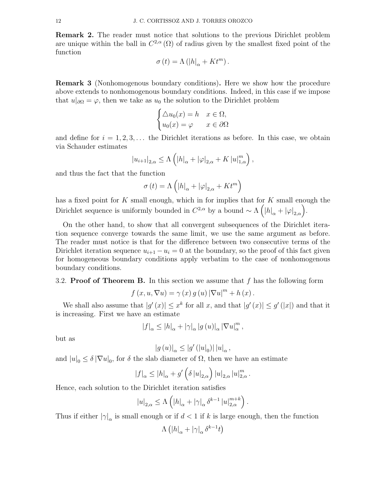Remark 2. The reader must notice that solutions to the previous Dirichlet problem are unique within the ball in  $C^{2,\alpha}(\Omega)$  of radius given by the smallest fixed point of the function

$$
\sigma\left( t\right) =\Lambda\left( \left\vert h\right\vert _{\alpha}+Kt^{m}\right) .
$$

<span id="page-11-0"></span>Remark 3 (Nonhomogenous boundary conditions). Here we show how the procedure above extends to nonhomogenous boundary conditions. Indeed, in this case if we impose that  $u|_{\partial\Omega} = \varphi$ , then we take as  $u_0$  the solution to the Dirichlet problem

$$
\begin{cases} \triangle u_0(x) = h & x \in \Omega, \\ u_0(x) = \varphi & x \in \partial\Omega \end{cases}
$$

and define for  $i = 1, 2, 3, \ldots$  the Dirichlet iterations as before. In this case, we obtain via Schauder estimates

$$
|u_{i+1}|_{2,\alpha} \leq \Lambda \left( |h|_{\alpha} + |\varphi|_{2,\alpha} + K |u|_{1,\alpha}^m \right),
$$

and thus the fact that the function

$$
\sigma(t) = \Lambda\left(|h|_{\alpha} + |\varphi|_{2,\alpha} + Kt^m\right)
$$

has a fixed point for K small enough, which in for implies that for K small enough the Dirichlet sequence is uniformly bounded in  $C^{2,\alpha}$  by a bound  $\sim \Lambda\left( |h|_{\alpha} + |\varphi|_{2,\alpha} \right)$ .

On the other hand, to show that all convergent subsequences of the Dirichlet iteration sequence converge towards the same limit, we use the same argument as before. The reader must notice is that for the difference between two consecutive terms of the Dirichlet iteration sequence  $u_{i+1} - u_i = 0$  at the boundary, so the proof of this fact given for homogeneous boundary conditions apply verbatim to the case of nonhomogenous boundary conditions.

#### 3.2. **Proof of Theorem B.** In this section we assume that  $f$  has the following form

$$
f(x, u, \nabla u) = \gamma(x) g(u) |\nabla u|^{m} + h(x).
$$

We shall also assume that  $|g'(x)| \leq x^k$  for all x, and that  $|g'(x)| \leq g'(|x|)$  and that it is increasing. First we have an estimate

$$
|f|_\alpha\leq |h|_\alpha+|\gamma|_\alpha\left|g\left(u\right)\right|_\alpha\left|\nabla u\right|_\alpha^m,
$$

but as

$$
\left|g\left(u\right)\right|_{\alpha} \leq \left|g'\left(\left|u\right|_{0}\right)\right| \left|u\right|_{\alpha},
$$

and  $|u|_0 \leq \delta |\nabla u|_0$ , for  $\delta$  the slab diameter of  $\Omega$ , then we have an estimate

$$
|f|_{\alpha} \leq |h|_{\alpha} + g' \left( \delta |u|_{2,\alpha} \right) |u|_{2,\alpha} |u|_{2,\alpha}^m.
$$

Hence, each solution to the Dirichlet iteration satisfies

$$
|u|_{2,\alpha} \le \Lambda \left( |h|_{\alpha} + |\gamma|_{\alpha} \delta^{k-1} |u|_{2,\alpha}^{m+k} \right)
$$

.

Thus if either  $|\gamma|_{\alpha}$  is small enough or if  $d < 1$  if k is large enough, then the function

$$
\Lambda\left(|h|_{\alpha}+|\gamma|_{\alpha}\delta^{k-1}t\right)
$$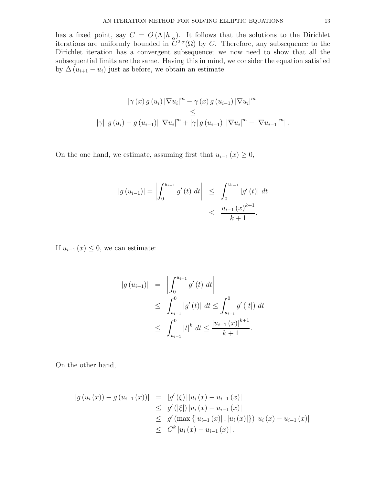has a fixed point, say  $C = O(\Lambda |h|_{\alpha})$ . It follows that the solutions to the Dirichlet iterations are uniformly bounded in  $C^{2,\alpha}(\Omega)$  by C. Therefore, any subsequence to the Dirichlet iteration has a convergent subsequence; we now need to show that all the subsequential limits are the same. Having this in mind, we consider the equation satisfied by  $\Delta (u_{i+1} - u_i)$  just as before, we obtain an estimate

$$
\begin{aligned} |\gamma(x) \, g(u_i) \, |\nabla u_i|^m &- \gamma(x) \, g(u_{i-1}) \, |\nabla u_i|^m| \\ &\leq \\ |\gamma| \, |g(u_i) - g(u_{i-1})| \, |\nabla u_i|^m + |\gamma| \, g(u_{i-1}) \, ||\nabla u_i|^m - |\nabla u_{i-1}|^m| \,. \end{aligned}
$$

On the one hand, we estimate, assuming first that  $u_{i-1}(x) \geq 0$ ,

$$
|g (u_{i-1})| = \left| \int_0^{u_{i-1}} g'(t) dt \right| \leq \int_0^{u_{i-1}} |g'(t)| dt
$$
  

$$
\leq \frac{u_{i-1} (x)^{k+1}}{k+1}.
$$

If  $u_{i-1}(x) \leq 0$ , we can estimate:

$$
|g (u_{i-1})| = \left| \int_0^{u_{i-1}} g'(t) dt \right|
$$
  
\n
$$
\leq \int_{u_{i-1}}^0 |g'(t)| dt \leq \int_{u_{i-1}}^0 g'(|t|) dt
$$
  
\n
$$
\leq \int_{u_{i-1}}^0 |t|^k dt \leq \frac{|u_{i-1} (x)|^{k+1}}{k+1}.
$$

On the other hand,

$$
|g (u_i (x)) - g (u_{i-1} (x))| = |g' (\xi)| |u_i (x) - u_{i-1} (x)|
$$
  
\n
$$
\leq g' (|\xi|) |u_i (x) - u_{i-1} (x)|
$$
  
\n
$$
\leq g' (\max\{|u_{i-1} (x)|, |u_i (x)|\}) |u_i (x) - u_{i-1} (x)|
$$
  
\n
$$
\leq C^k |u_i (x) - u_{i-1} (x)|.
$$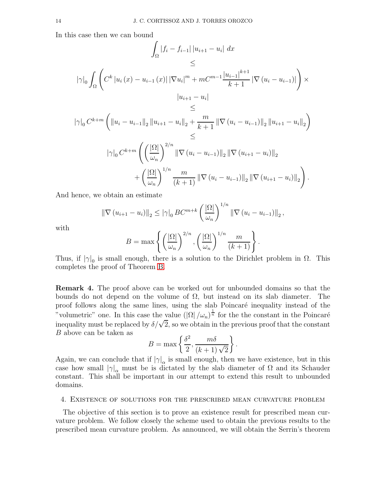In this case then we can bound

$$
\int_{\Omega} |f_i - f_{i-1}| |u_{i+1} - u_i| dx
$$
\n
$$
\leq
$$
\n
$$
|\gamma|_0 \int_{\Omega} \left( C^k |u_i(x) - u_{i-1}(x)| |\nabla u_i|^m + m C^{m-1} \frac{|u_{i-1}|^{k+1}}{k+1} |\nabla (u_i - u_{i-1})| \right) \times
$$
\n
$$
|u_{i+1} - u_i|
$$
\n
$$
\leq
$$
\n
$$
|\gamma|_0 C^{k+m} \left( \|u_i - u_{i-1}\|_2 \|u_{i+1} - u_i\|_2 + \frac{m}{k+1} \|\nabla (u_i - u_{i-1})\|_2 \|u_{i+1} - u_i\|_2 \right)
$$
\n
$$
\leq
$$
\n
$$
|\gamma|_0 C^{k+m} \left( \left( \frac{|\Omega|}{\omega_n} \right)^{2/n} \|\nabla (u_i - u_{i-1})\|_2 \|\nabla (u_{i+1} - u_i)\|_2
$$
\n
$$
+ \left( \frac{|\Omega|}{\omega_n} \right)^{1/n} \frac{m}{(k+1)} \|\nabla (u_i - u_{i-1})\|_2 \|\nabla (u_{i+1} - u_i)\|_2 \right).
$$

And hence, we obtain an estimate

$$
\|\nabla (u_{i+1} - u_i)\|_2 \leq |\gamma|_0 BC^{m+k} \left(\frac{|\Omega|}{\omega_n}\right)^{1/n} \|\nabla (u_i - u_{i-1})\|_2,
$$

with

$$
B = \max \left\{ \left( \frac{|\Omega|}{\omega_n} \right)^{2/n}, \left( \frac{|\Omega|}{\omega_n} \right)^{1/n} \frac{m}{(k+1)} \right\}.
$$

Thus, if  $|\gamma|_0$  is small enough, there is a solution to the Dirichlet problem in  $\Omega$ . This completes the proof of Theorem [B.](#page-2-0)

Remark 4. The proof above can be worked out for unbounded domains so that the bounds do not depend on the volume of  $\Omega$ , but instead on its slab diameter. The proof follows along the same lines, using the slab Poincaré inequality instead of the "volumetric" one. In this case the value  $(|\Omega|/\omega_n)^{\frac{1}{n}}$  for the the constant in the Poincaré inequality must be replaced by  $\delta/\sqrt{2}$ , so we obtain in the previous proof that the constant B above can be taken as

$$
B = \max\left\{\frac{\delta^2}{2}, \frac{m\delta}{(k+1)\sqrt{2}}\right\}.
$$

Again, we can conclude that if  $|\gamma|_{\alpha}$  is small enough, then we have existence, but in this case how small  $|\gamma|_{\alpha}$  must be is dictated by the slab diameter of  $\Omega$  and its Schauder constant. This shall be important in our attempt to extend this result to unbounded domains.

### <span id="page-13-0"></span>4. Existence of solutions for the prescribed mean curvature problem

The objective of this section is to prove an existence result for prescribed mean curvature problem. We follow closely the scheme used to obtain the previous results to the prescribed mean curvature problem. As announced, we will obtain the Serrin's theorem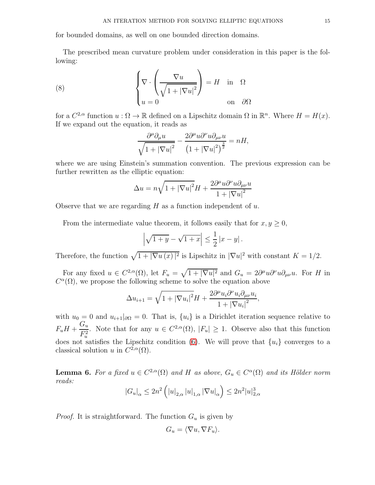for bounded domains, as well on one bounded direction domains.

The prescribed mean curvature problem under consideration in this paper is the following:

(8) 
$$
\begin{cases} \nabla \cdot \left( \frac{\nabla u}{\sqrt{1 + |\nabla u|^2}} \right) = H & \text{in } \Omega \\ u = 0 & \text{on } \partial \Omega \end{cases}
$$

for a  $C^{2,\alpha}$  function  $u : \Omega \to \mathbb{R}$  defined on a Lipschitz domain  $\Omega$  in  $\mathbb{R}^n$ . Where  $H = H(x)$ . If we expand out the equation, it reads as

$$
\frac{\partial^{\mu} \partial_{\mu} u}{\sqrt{1+|\nabla u|^2}} - \frac{2\partial^{\mu} u \partial^{\nu} u \partial_{\mu\nu} u}{\left(1+|\nabla u|^2\right)^{\frac{3}{2}}} = nH,
$$

where we are using Einstein's summation convention. The previous expression can be further rewritten as the elliptic equation:

$$
\Delta u = n\sqrt{1 + |\nabla u|^2}H + \frac{2\partial^{\mu}u\partial^{\nu}u\partial_{\mu\nu}u}{1 + |\nabla u|^2}
$$

Observe that we are regarding  $H$  as a function independent of  $u$ .

From the intermediate value theorem, it follows easily that for  $x, y \geq 0$ ,

$$
\left|\sqrt{1+y} - \sqrt{1+x}\right| \le \frac{1}{2} \left|x - y\right|.
$$

Therefore, the function  $\sqrt{1 + |\nabla u(x)|^2}$  is Lipschitz in  $|\nabla u|^2$  with constant  $K = 1/2$ .

For any fixed  $u \in C^{2,\alpha}(\Omega)$ , let  $F_u = \sqrt{1 + |\nabla u|^2}$  and  $G_u = 2\partial^{\mu}u\partial^{\nu}u\partial_{\mu\nu}u$ . For H in  $C^{\alpha}(\Omega)$ , we propose the following scheme to solve the equation above

$$
\Delta u_{i+1} = \sqrt{1+|\nabla u_i|^2}H + \frac{2\partial^{\mu} u_i \partial^{\nu} u_i \partial_{\mu\nu} u_i}{1+|\nabla u_i|^2},
$$

with  $u_0 = 0$  and  $u_{i+1}|_{\partial\Omega} = 0$ . That is,  $\{u_i\}$  is a Dirichlet iteration sequence relative to  $F_u H +$  $G_u$  $\frac{G_u}{F_u^2}$ . Note that for any  $u \in C^{2,\alpha}(\Omega)$ ,  $|F_u| \geq 1$ . Observe also that this function does not satisfies the Lipschitz condition [\(6\)](#page-8-0). We will prove that  $\{u_i\}$  converges to a classical solution u in  $C^{2,\alpha}(\Omega)$ .

<span id="page-14-0"></span>**Lemma 6.** For a fixed  $u \in C^{2,\alpha}(\Omega)$  and H as above,  $G_u \in C^{\alpha}(\Omega)$  and its Hölder norm *reads:*

$$
|G_u|_{\alpha} \le 2n^2 \left( |u|_{2,\alpha} |u|_{1,\alpha} |\nabla u|_{\alpha} \right) \le 2n^2 |u|_{2,\alpha}^3
$$

*Proof.* It is straightforward. The function  $G_u$  is given by

$$
G_u = \langle \nabla u, \nabla F_u \rangle.
$$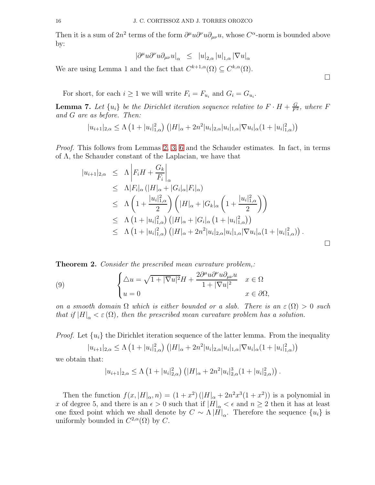Then it is a sum of  $2n^2$  terms of the form  $\partial^{\mu}u\partial^{\nu}u\partial_{\mu\nu}u$ , whose  $C^{\alpha}$ -norm is bounded above by:

$$
\left|\partial^{\mu}u\partial^{\nu}u\partial_{\mu\nu}u\right|_{\alpha} \ \leq \ \left|u\right|_{2,\alpha}\left|u\right|_{1,\alpha}\left|\nabla u\right|_{\alpha}
$$

We are using Lemma 1 and the fact that  $C^{k+1,\alpha}(\Omega) \subseteq C^{k,\alpha}(\Omega)$ .

For short, for each  $i \geq 1$  we will write  $F_i = F_{u_i}$  and  $G_i = G_{u_i}$ .

**Lemma 7.** Let  $\{u_i\}$  be the Dirichlet iteration sequence relative to  $F \cdot H + \frac{G}{F^2}$ , where F *and* G *are as before. Then:*

 $|u_{i+1}|_{2,\alpha} \leq \Lambda \left(1+|u_i|^2_{1,\alpha}\right) \left(|H|_{\alpha}+2n^2|u_i|_{2,\alpha}|u_i|_{1,\alpha}|\nabla u_i|_{\alpha}(1+|u_i|^2_{1,\alpha})\right)$ 

*Proof.* This follows from Lemmas [2,](#page-6-0) [3,](#page-7-1) [6](#page-14-0) and the Schauder estimates. In fact, in terms of Λ, the Schauder constant of the Laplacian, we have that

$$
|u_{i+1}|_{2,\alpha} \leq \Lambda \left| F_i H + \frac{G_k}{F_i} \right|_{\alpha} \leq \Lambda |F_i|_{\alpha} (|H|_{\alpha} + |G_i|_{\alpha}|F_i|_{\alpha}) \leq \Lambda \left( 1 + \frac{|u_i|_{1,\alpha}^2}{2} \right) \left( |H|_{\alpha} + |G_k|_{\alpha} \left( 1 + \frac{|u_i|_{1,\alpha}^2}{2} \right) \right) \leq \Lambda \left( 1 + |u_i|_{1,\alpha}^2 \right) (|H|_{\alpha} + |G_i|_{\alpha} (1 + |u_i|_{1,\alpha}^2)) \leq \Lambda \left( 1 + |u_i|_{1,\alpha}^2 \right) (|H|_{\alpha} + 2n^2 |u_i|_{2,\alpha} |u_i|_{1,\alpha} |\nabla u_i|_{\alpha} (1 + |u_i|_{1,\alpha}^2)).
$$

Theorem 2. *Consider the prescribed mean curvature problem,:*

(9) 
$$
\begin{cases} \Delta u = \sqrt{1+|\nabla u|^2}H + \frac{2\partial^{\mu}u\partial^{\nu}u\partial_{\mu\nu}u}{1+|\nabla u|^2} & x \in \Omega \\ u = 0 & x \in \partial\Omega, \end{cases}
$$

*on a smooth domain*  $\Omega$  *which is either bounded or a slab. There is an*  $\varepsilon(\Omega) > 0$  *such that if*  $|H|_{\alpha} < \varepsilon(\Omega)$ *, then the prescribed mean curvature problem has a solution.* 

*Proof.* Let  $\{u_i\}$  the Dirichlet iteration sequence of the latter lemma. From the inequality

$$
|u_{i+1}|_{2,\alpha} \leq \Lambda \left(1+|u_i|_{1,\alpha}^2\right) \left(|H|_{\alpha}+2n^2|u_i|_{2,\alpha}|u_i|_{1,\alpha}|\nabla u_i|_{\alpha}(1+|u_i|_{1,\alpha}^2)\right)
$$

we obtain that:

$$
|u_{i+1}|_{2,\alpha} \leq \Lambda \left(1+|u_i|_{2,\alpha}^2\right) \left(|H|_{\alpha}+2n^2|u_i|_{2,\alpha}^3(1+|u_i|_{2,\alpha}^2)\right).
$$

Then the function  $f(x, |H|_{\alpha}, n) = (1+x^2) (|H|_{\alpha} + 2n^2x^3(1+x^2))$  is a polynomial in x of degree 5, and there is an  $\epsilon > 0$  such that if  $|H|_{\alpha} < \epsilon$  and  $n \geq 2$  then it has at least one fixed point which we shall denote by  $C \sim \Lambda |H|_{\alpha}$ . Therefore the sequence  $\{u_i\}$  is uniformly bounded in  $C^{2,\alpha}(\Omega)$  by C.

 $\Box$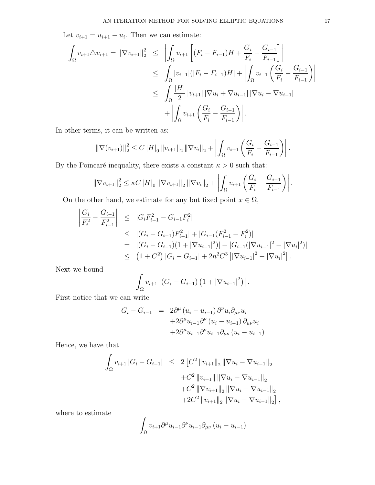Let  $v_{i+1} = u_{i+1} - u_i$ . Then we can estimate:

$$
\int_{\Omega} v_{i+1} \Delta v_{i+1} = ||\nabla v_{i+1}||_2^2 \le \left| \int_{\Omega} v_{i+1} \left[ (F_i - F_{i-1})H + \frac{G_i}{F_i} - \frac{G_{i-1}}{F_{i-1}} \right] \right|
$$
  
\n
$$
\le \int_{\Omega} |v_{i+1}| (|F_i - F_{i-1})H| + \left| \int_{\Omega} v_{i+1} \left( \frac{G_i}{F_i} - \frac{G_{i-1}}{F_{i-1}} \right) \right|
$$
  
\n
$$
\le \int_{\Omega} \frac{|H|}{2} |v_{i+1}| |\nabla u_i + \nabla u_{i-1}| |\nabla u_i - \nabla u_{i-1}|
$$
  
\n
$$
+ \left| \int_{\Omega} v_{i+1} \left( \frac{G_i}{F_i} - \frac{G_{i-1}}{F_{i-1}} \right) \right|.
$$

In other terms, it can be written as:

$$
\|\nabla(v_{i+1})\|_2^2 \le C\|H\|_0 \|v_{i+1}\|_2 \|\nabla v_i\|_2 + \left| \int_{\Omega} v_{i+1} \left( \frac{G_i}{F_i} - \frac{G_{i-1}}{F_{i-1}} \right) \right|.
$$

By the Poincaré inequality, there exists a constant  $\kappa > 0$  such that:

$$
\|\nabla v_{i+1}\|_2^2 \leq \kappa C \|H\|_0 \left\|\nabla v_{i+1}\right\|_2 \left\|\nabla v_i\right\|_2 + \left| \int_{\Omega} v_{i+1} \left( \frac{G_i}{F_i} - \frac{G_{i-1}}{F_{i-1}} \right) \right|.
$$

On the other hand, we estimate for any but fixed point  $x \in \Omega$ ,

$$
\begin{aligned}\n\left| \frac{G_i}{F_i^2} - \frac{G_{i-1}}{F_{i-1}^2} \right| &\leq |G_i F_{i-1}^2 - G_{i-1} F_i^2| \\
&\leq |(G_i - G_{i-1}) F_{i-1}^2| + |G_{i-1}(F_{i-1}^2 - F_i^2)| \\
&= |(G_i - G_{i-1})(1 + |\nabla u_{i-1}|^2) + |G_{i-1}(|\nabla u_{i-1}|^2 - |\nabla u_i|^2)| \\
&\leq (1 + C^2) |G_i - G_{i-1}| + 2n^2 C^3 \left| |\nabla u_{i-1}|^2 - |\nabla u_i|^2 \right|. \n\end{aligned}
$$

Next we bound

$$
\int_{\Omega} v_{i+1} |(G_i - G_{i-1}) (1 + |\nabla u_{i-1}|^2)|.
$$

First notice that we can write

$$
G_i - G_{i-1} = 2\partial^{\mu} (u_i - u_{i-1}) \partial^{\nu} u_i \partial_{\mu\nu} u_i
$$
  
+2\partial^{\mu} u\_{i-1} \partial^{\nu} (u\_i - u\_{i-1}) \partial\_{\mu\nu} u\_i  
+2\partial^{\mu} u\_{i-1} \partial^{\nu} u\_{i-1} \partial\_{\mu\nu} (u\_i - u\_{i-1})

Hence, we have that

$$
\int_{\Omega} v_{i+1} |G_i - G_{i-1}| \leq 2 \left[ C^2 \|v_{i+1}\|_2 \|\nabla u_i - \nabla u_{i-1}\|_2 \right. \\
\left. + C^2 \|v_{i+1}\| \|\nabla u_i - \nabla u_{i-1}\|_2 \right. \\
\left. + C^2 \|\nabla v_{i+1}\|_2 \|\nabla u_i - \nabla u_{i-1}\|_2 \right. \\
\left. + 2C^2 \|v_{i+1}\|_2 \|\nabla u_i - \nabla u_{i-1}\|_2 \right],
$$

where to estimate

$$
\int_{\Omega} v_{i+1} \partial^{\mu} u_{i-1} \partial^{\nu} u_{i-1} \partial_{\mu\nu} (u_i - u_{i-1})
$$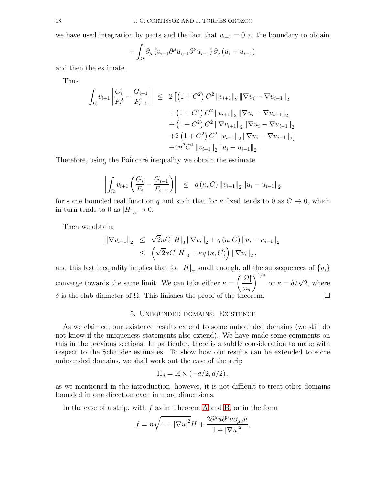we have used integration by parts and the fact that  $v_{i+1} = 0$  at the boundary to obtain

$$
- \int_{\Omega} \partial_{\mu} \left( v_{i+1} \partial^{\mu} u_{i-1} \partial^{\nu} u_{i-1} \right) \partial_{\nu} \left( u_i - u_{i-1} \right)
$$

and then the estimate.

Thus

$$
\int_{\Omega} v_{i+1} \left| \frac{G_i}{F_i^2} - \frac{G_{i-1}}{F_{i-1}^2} \right| \leq 2 \left[ \left( 1 + C^2 \right) C^2 \| v_{i+1} \|_2 \| \nabla u_i - \nabla u_{i-1} \|_2 \right. \\
\left. + \left( 1 + C^2 \right) C^2 \| v_{i+1} \|_2 \| \nabla u_i - \nabla u_{i-1} \|_2 \right. \\
\left. + \left( 1 + C^2 \right) C^2 \| \nabla v_{i+1} \|_2 \| \nabla u_i - \nabla u_{i-1} \|_2 \right. \\
\left. + 2 \left( 1 + C^2 \right) C^2 \| v_{i+1} \|_2 \| \nabla u_i - \nabla u_{i-1} \|_2 \right] \\
\left. + 4n^2 C^4 \| v_{i+1} \|_2 \| u_i - u_{i-1} \|_2.
$$

Therefore, using the Poincaré inequality we obtain the estimate

$$
\left| \int_{\Omega} v_{i+1} \left( \frac{G_i}{F_i} - \frac{G_{i-1}}{F_{i-1}} \right) \right| \leq q(\kappa, C) \| v_{i+1} \|_2 \| u_i - u_{i-1} \|_2
$$

for some bounded real function q and such that for  $\kappa$  fixed tends to 0 as  $C \to 0$ , which in turn tends to 0 as  $|H|_{\alpha} \to 0$ .

Then we obtain:

$$
\|\nabla v_{i+1}\|_2 \leq \sqrt{2}\kappa C \|H\|_0 \|\nabla v_i\|_2 + q(\kappa, C) \|u_i - u_{i-1}\|_2
$$
  

$$
\leq (\sqrt{2}\kappa C \|H\|_0 + \kappa q(\kappa, C)) \|\nabla v_i\|_2,
$$

and this last inequality implies that for  $|H|_{\alpha}$  small enough, all the subsequences of  $\{u_i\}$ converge towards the same limit. We can take either  $\kappa =$  $\sqrt{|\Omega|}$  $\omega_n$  $\int_{0}^{1/n}$  or  $\kappa = \delta/\sqrt{2}$ , where δ is the slab diameter of  $\Omega$ . This finishes the proof of the theorem.

## 5. Unbounded domains: Existence

<span id="page-17-0"></span>As we claimed, our existence results extend to some unbounded domains (we still do not know if the uniqueness statements also extend). We have made some comments on this in the previous sections. In particular, there is a subtle consideration to make with respect to the Schauder estimates. To show how our results can be extended to some unbounded domains, we shall work out the case of the strip

$$
\Pi_d = \mathbb{R} \times (-d/2, d/2),
$$

as we mentioned in the introduction, however, it is not difficult to treat other domains bounded in one direction even in more dimensions.

In the case of a strip, with  $f$  as in Theorem [A](#page-1-0) and [B,](#page-2-0) or in the form

$$
f = n\sqrt{1 + |\nabla u|^2}H + \frac{2\partial^{\mu}u\partial^{\nu}u\partial_{\mu\nu}u}{1 + |\nabla u|^2},
$$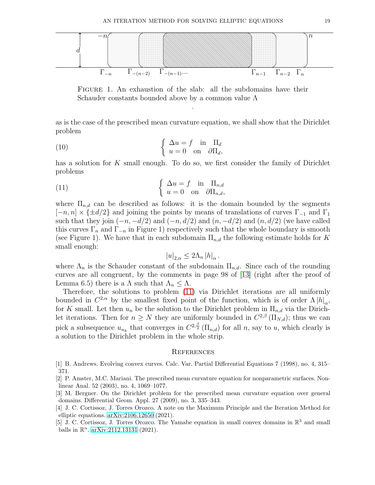

Figure 1. An exhaustion of the slab: all the subdomains have their Schauder constants bounded above by a common value  $\Lambda$ 

.

as is the case of the prescribed mean curvature equation, we shall show that the Dirichlet problem

(10) 
$$
\begin{cases} \Delta u = f \text{ in } \Pi_d \\ u = 0 \text{ on } \partial \Pi_d, \end{cases}
$$

has a solution for K small enough. To do so, we first consider the family of Dirichlet problems

(11) 
$$
\begin{cases} \Delta u = f \text{ in } \Pi_{n,d} \\ u = 0 \text{ on } \partial \Pi_{n,d}, \end{cases}
$$

where  $\Pi_{n,d}$  can be described as follows: it is the domain bounded by the segments  $[-n, n] \times \{\pm d/2\}$  and joining the points by means of translations of curves  $\Gamma_{-1}$  and  $\Gamma_1$ such that they join  $(-n, -d/2)$  and  $(-n, d/2)$  and  $(n, -d/2)$  and  $(n, d/2)$  (we have called this curves  $\Gamma_n$  and  $\Gamma_{-n}$  in Figure 1) respectively such that the whole boundary is smooth (see Figure 1). We have that in each subdomain  $\Pi_{n,d}$  the following estimate holds for K small enough:

<span id="page-18-4"></span>
$$
|u|_{2,\alpha} \le 2\Lambda_n |h|_{\alpha}.
$$

where  $\Lambda_n$  is the Schauder constant of the subdomain  $\Pi_{n,d}$ . Since each of the rounding curves are all congruent, by the comments in page 98 of [\[13\]](#page-19-3) (right after the proof of Lemma 6.5) there is a  $\Lambda$  such that  $\Lambda_n \leq \Lambda$ .

Therefore, the solutions to problem [\(11\)](#page-18-4) via Dirichlet iterations are all uniformly bounded in  $C^{2,\alpha}$  by the smallest fixed point of the function, which is of order  $\Lambda |h|_{\alpha}$ , for K small. Let then  $u_n$  be the solution to the Dirichlet problem in  $\Pi_{n,d}$  via the Dirichlet iterations. Then for  $n \geq N$  they are uniformly bounded in  $C^{2,\beta}(\Pi_{N,d})$ ; thus we can pick a subsequence  $u_{n_k}$  that converges in  $C^{2,\frac{\beta}{2}}(\Pi_{n,d})$  for all n, say to u, which clearly is a solution to the Dirichlet problem in the whole strip.

#### **REFERENCES**

<span id="page-18-1"></span>[5] J. C. Cortissoz, J. Torres Orozco. The Yamabe equation in small convex domains in  $\mathbb{R}^3$  and small balls in  $\mathbb{R}^n$ . [arXiv:2112.13131](http://arxiv.org/abs/2112.13131) (2021).

<span id="page-18-3"></span><sup>[1]</sup> B. Andrews. Evolving convex curves. Calc. Var. Partial Differential Equations 7 (1998), no. 4, 315– 371.

<sup>[2]</sup> P. Amster, M.C. Mariani. The prescribed mean curvature equation for nonparametric surfaces. Nonlinear Anal. 52 (2003), no. 4, 1069–1077.

<span id="page-18-2"></span><sup>[3]</sup> M. Bergner. On the Dirichlet problem for the prescribed mean curvature equation over general domains. Differential Geom. Appl. 27 (2009), no. 3, 335–343.

<span id="page-18-0"></span><sup>[4]</sup> J. C. Cortissoz, J. Torres Orozco. A note on the Maximum Principle and the Iteration Method for elliptic equations. [arXiv:2106.12650](http://arxiv.org/abs/2106.12650) (2021).